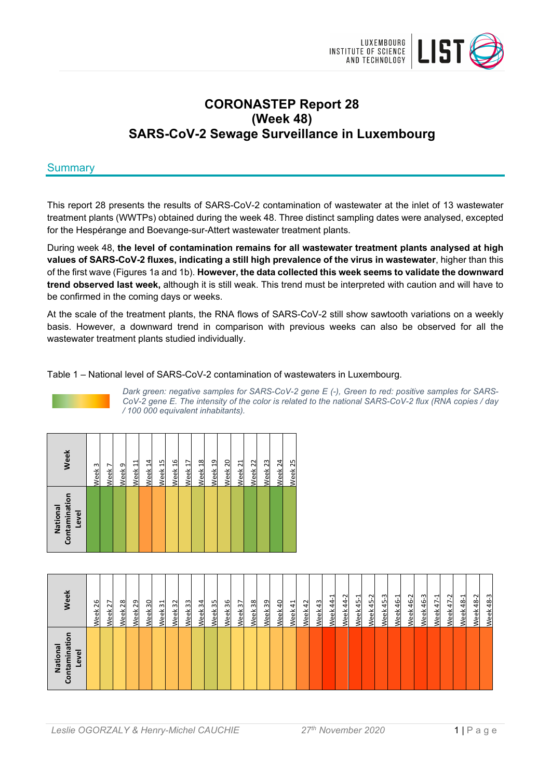

# **CORONASTEP Report 28 (Week 48) SARS-CoV-2 Sewage Surveillance in Luxembourg**

## **Summary**

This report 28 presents the results of SARS-CoV-2 contamination of wastewater at the inlet of 13 wastewater treatment plants (WWTPs) obtained during the week 48. Three distinct sampling dates were analysed, excepted for the Hespérange and Boevange-sur-Attert wastewater treatment plants.

During week 48, **the level of contamination remains for all wastewater treatment plants analysed at high values of SARS-CoV-2 fluxes, indicating a still high prevalence of the virus in wastewater**, higher than this of the first wave (Figures 1a and 1b). **However, the data collected this week seems to validate the downward trend observed last week,** although it is still weak. This trend must be interpreted with caution and will have to be confirmed in the coming days or weeks.

At the scale of the treatment plants, the RNA flows of SARS-CoV-2 still show sawtooth variations on a weekly basis. However, a downward trend in comparison with previous weeks can also be observed for all the wastewater treatment plants studied individually.

Table 1 – National level of SARS-CoV-2 contamination of wastewaters in Luxembourg.



*Dark green: negative samples for SARS-CoV-2 gene E (-), Green to red: positive samples for SARS-CoV-2 gene E. The intensity of the color is related to the national SARS-CoV-2 flux (RNA copies / day / 100 000 equivalent inhabitants).* 

| Contamination<br>National<br>Level | <b>Week</b>        |
|------------------------------------|--------------------|
|                                    | Week <sub>3</sub>  |
|                                    | Week 7             |
|                                    | Week <sub>9</sub>  |
|                                    | Week 11            |
|                                    | Week 14            |
|                                    | Week 15            |
|                                    | Week 16            |
|                                    | Week <sub>17</sub> |
|                                    | Week 18            |
|                                    | Week 19            |
|                                    | Week 20            |
|                                    | Week <sub>21</sub> |
|                                    | Week <sub>22</sub> |
|                                    | Week <sub>23</sub> |
|                                    | Week 24            |
|                                    | Week 25            |

| /eek                                              | 26<br><b>Veek</b> | 27<br>Week | 28<br><b>Veek</b> | 29<br>/eek | 30<br>Week | $\overline{31}$<br>Week 3 | 32<br>Week 3 | 33<br>Week | 34<br><b>Veek</b> | 35<br>Week | Week 36 | 37<br>Week | 38<br>Week | 39<br>Veek | 40<br>Veek | $\overline{4}$<br>Week | 42<br>Neek | 43<br>Week | ⊣<br>$\overline{4}$<br>Week | $\sim$<br>4<br>$\overline{4}$<br><b>Veek</b> | 45-1<br>Week | 45-2<br>Week | Week 45-3 | 46-1<br><b>Veek</b> | Ņ<br>$\frac{6}{4}$<br><u>veek</u> | 46-3<br>Week | $47-1$<br>Week | $47 - 2$<br>Week | 48-1<br>Week | $\sim$<br>48<br>Week | m<br>$\frac{8}{3}$<br><b>Neek</b> |
|---------------------------------------------------|-------------------|------------|-------------------|------------|------------|---------------------------|--------------|------------|-------------------|------------|---------|------------|------------|------------|------------|------------------------|------------|------------|-----------------------------|----------------------------------------------|--------------|--------------|-----------|---------------------|-----------------------------------|--------------|----------------|------------------|--------------|----------------------|-----------------------------------|
| o<br>Ξ<br>lational<br>ntamina<br>Level<br>z<br>පි |                   |            |                   |            |            |                           |              |            |                   |            |         |            |            |            |            |                        |            |            |                             |                                              |              |              |           |                     |                                   |              |                |                  |              |                      |                                   |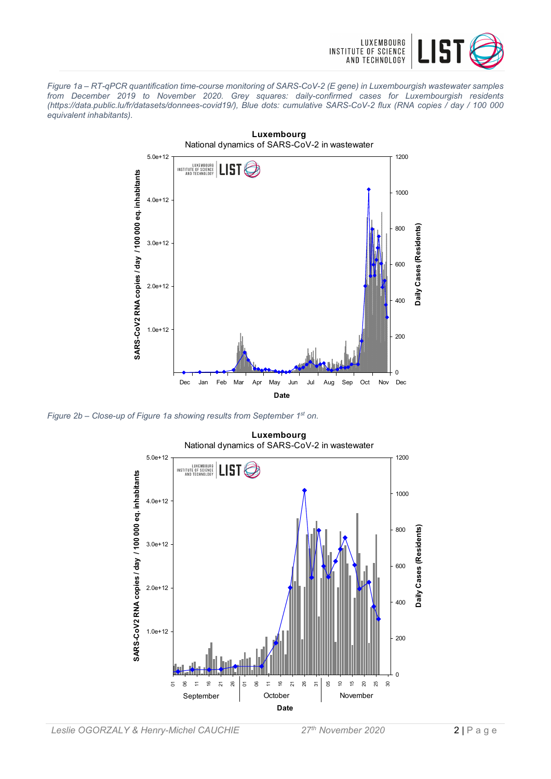

*Figure 1a – RT-qPCR quantification time-course monitoring of SARS-CoV-2 (E gene) in Luxembourgish wastewater samples from December 2019 to November 2020. Grey squares: daily-confirmed cases for Luxembourgish residents (https://data.public.lu/fr/datasets/donnees-covid19/), Blue dots: cumulative SARS-CoV-2 flux (RNA copies / day / 100 000 equivalent inhabitants).* 



*Figure 2b – Close-up of Figure 1a showing results from September 1st on.* 

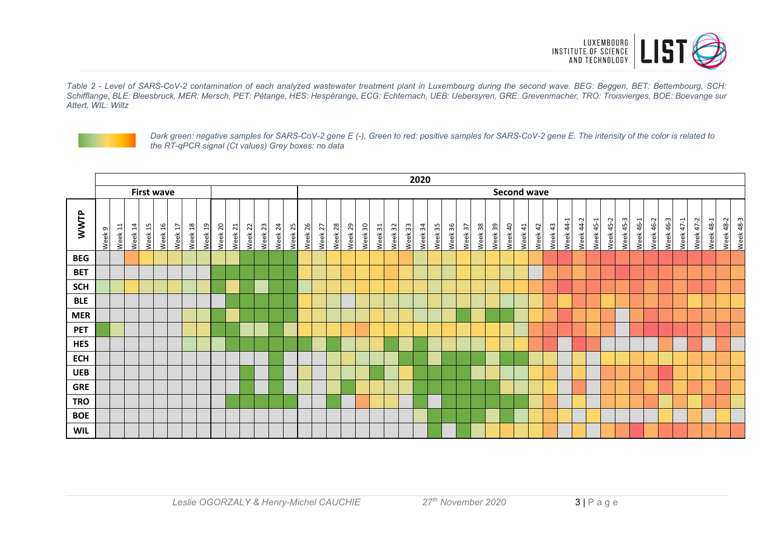

*Table 2 - Level of SARS-CoV-2 contamination of each analyzed wastewater treatment plant in Luxembourg during the second wave. BEG: Beggen, BET: Bettembourg, SCH: Schifflange, BLE: Bleesbruck, MER: Mersch, PET: Pétange, HES: Hespèrange, ECG: Echternach, UEB: Uebersyren, GRE: Grevenmacher, TRO: Troisvierges, BOE: Boevange sur Attert, WIL: Wiltz* 



*Dark green: negative samples for SARS-CoV-2 gene E (-), Green to red: positive samples for SARS-CoV-2 gene E. The intensity of the color is related to the RT-qPCR signal (Ct values) Grey boxes: no data* 

|             | 2020<br><b>Second wave</b> |           |         |                   |         |         |         |         |         |         |         |         |         |         |         |         |         |         |         |         |         |         |         |         |         |         |         |         |         |         |         |         |           |           |                  |           |           |           |           |           |           |           |           |           |           |
|-------------|----------------------------|-----------|---------|-------------------|---------|---------|---------|---------|---------|---------|---------|---------|---------|---------|---------|---------|---------|---------|---------|---------|---------|---------|---------|---------|---------|---------|---------|---------|---------|---------|---------|---------|-----------|-----------|------------------|-----------|-----------|-----------|-----------|-----------|-----------|-----------|-----------|-----------|-----------|
|             |                            |           |         | <b>First wave</b> |         |         |         |         |         |         |         |         |         |         |         |         |         |         |         |         |         |         |         |         |         |         |         |         |         |         |         |         |           |           |                  |           |           |           |           |           |           |           |           |           |           |
| <b>WWTP</b> | Week 9                     | 且<br>Week | Week 14 | Week 15           | Week 16 | Week 17 | Week 18 | Week 19 | Week 20 | Week 21 | Week 22 | Week 23 | Week 24 | Week 25 | Week 26 | Week 27 | Week 28 | Week 29 | Week 30 | Week 31 | Week 32 | Week 33 | Week 34 | Week 35 | Week 36 | Week 37 | Week 38 | Week 39 | Week 40 | Week 41 | Week 42 | Week 43 | Week 44-1 | Week 44-2 | <b>Week 45-1</b> | Week 45-2 | Week 45-3 | Week 46-1 | Week 46-2 | Week 46-3 | Week 47-1 | Week 47-2 | Week 48-1 | Week 48-2 | Week 48-3 |
| <b>BEG</b>  |                            |           |         |                   |         |         |         |         |         |         |         |         |         |         |         |         |         |         |         |         |         |         |         |         |         |         |         |         |         |         |         |         |           |           |                  |           |           |           |           |           |           |           |           |           |           |
| <b>BET</b>  |                            |           |         |                   |         |         |         |         |         |         |         |         |         |         |         |         |         |         |         |         |         |         |         |         |         |         |         |         |         |         |         |         |           |           |                  |           |           |           |           |           |           |           |           |           |           |
| <b>SCH</b>  |                            |           |         |                   |         |         |         |         |         |         |         |         |         |         |         |         |         |         |         |         |         |         |         |         |         |         |         |         |         |         |         |         |           |           |                  |           |           |           |           |           |           |           |           |           |           |
| <b>BLE</b>  |                            |           |         |                   |         |         |         |         |         |         |         |         |         |         |         |         |         |         |         |         |         |         |         |         |         |         |         |         |         |         |         |         |           |           |                  |           |           |           |           |           |           |           |           |           |           |
| <b>MER</b>  |                            |           |         |                   |         |         |         |         |         |         |         |         |         |         |         |         |         |         |         |         |         |         |         |         |         |         |         |         |         |         |         |         |           |           |                  |           |           |           |           |           |           |           |           |           |           |
| <b>PET</b>  |                            |           |         |                   |         |         |         |         |         |         |         |         |         |         |         |         |         |         |         |         |         |         |         |         |         |         |         |         |         |         |         |         |           |           |                  |           |           |           |           |           |           |           |           |           |           |
| <b>HES</b>  |                            |           |         |                   |         |         |         |         |         |         |         |         |         |         |         |         |         |         |         |         |         |         |         |         |         |         |         |         |         |         |         |         |           |           |                  |           |           |           |           |           |           |           |           |           |           |
| <b>ECH</b>  |                            |           |         |                   |         |         |         |         |         |         |         |         |         |         |         |         |         |         |         |         |         |         |         |         |         |         |         |         |         |         |         |         |           |           |                  |           |           |           |           |           |           |           |           |           |           |
| <b>UEB</b>  |                            |           |         |                   |         |         |         |         |         |         |         |         |         |         |         |         |         |         |         |         |         |         |         |         |         |         |         |         |         |         |         |         |           |           |                  |           |           |           |           |           |           |           |           |           |           |
| <b>GRE</b>  |                            |           |         |                   |         |         |         |         |         |         |         |         |         |         |         |         |         |         |         |         |         |         |         |         |         |         |         |         |         |         |         |         |           |           |                  |           |           |           |           |           |           |           |           |           |           |
| <b>TRO</b>  |                            |           |         |                   |         |         |         |         |         |         |         |         |         |         |         |         |         |         |         |         |         |         |         |         |         |         |         |         |         |         |         |         |           |           |                  |           |           |           |           |           |           |           |           |           |           |
| <b>BOE</b>  |                            |           |         |                   |         |         |         |         |         |         |         |         |         |         |         |         |         |         |         |         |         |         |         |         |         |         |         |         |         |         |         |         |           |           |                  |           |           |           |           |           |           |           |           |           |           |
| <b>WIL</b>  |                            |           |         |                   |         |         |         |         |         |         |         |         |         |         |         |         |         |         |         |         |         |         |         |         |         |         |         |         |         |         |         |         |           |           |                  |           |           |           |           |           |           |           |           |           |           |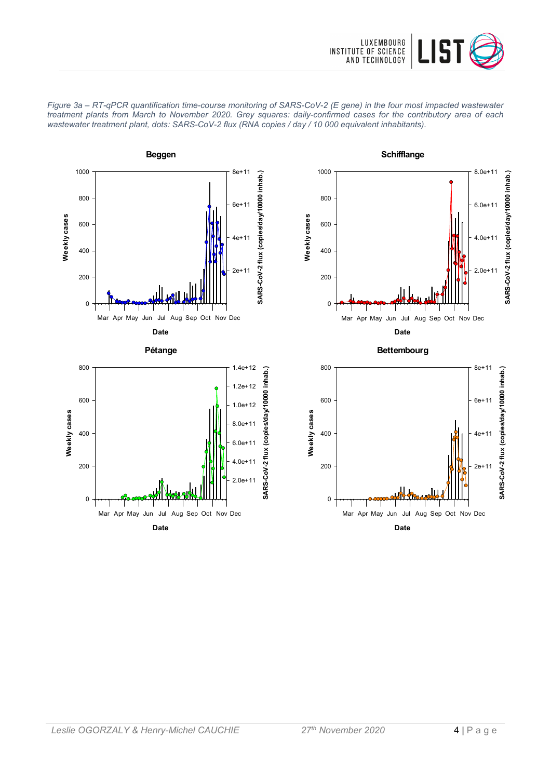









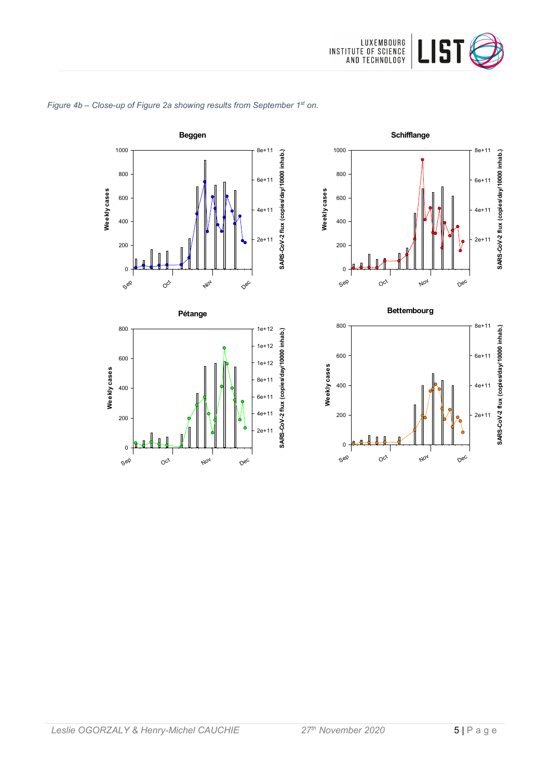









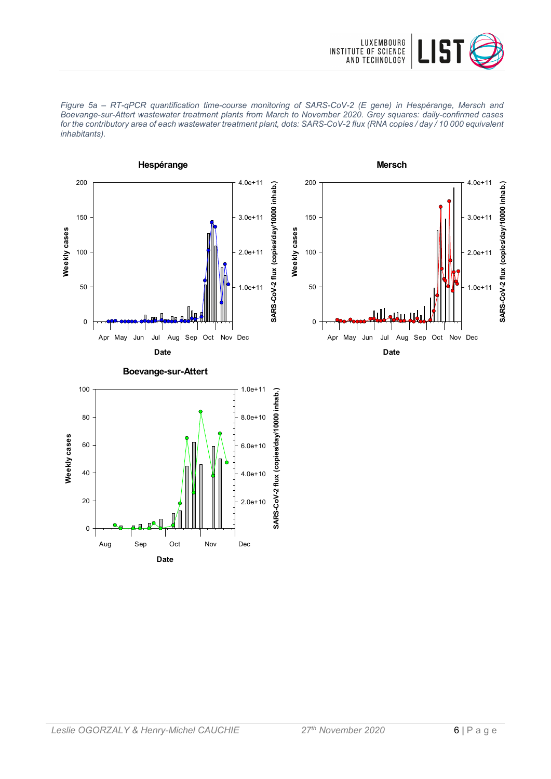





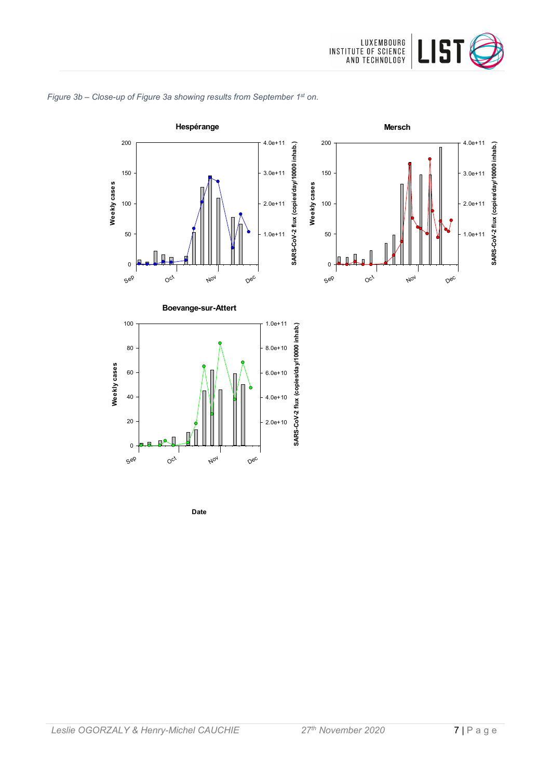

**SARS-CoV-2 flux (copies/day/10000 inhab.)**

SARS-CoV-2 flux (copies/day/10000 inhab.)

1.0e+11

2.0e+11

3.0e+11

4.0e+11

## *Figure 3b – Close-up of Figure 3a showing results from September 1st on.*



**Date**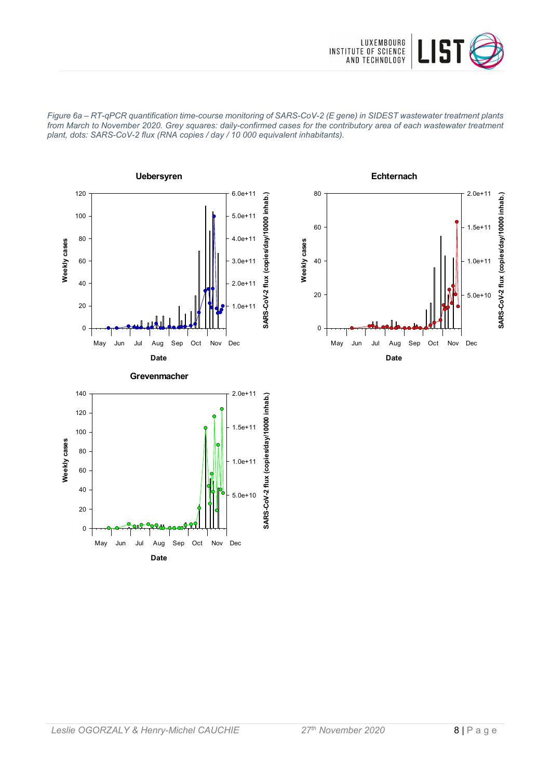

*Figure 6a – RT-qPCR quantification time-course monitoring of SARS-CoV-2 (E gene) in SIDEST wastewater treatment plants from March to November 2020. Grey squares: daily-confirmed cases for the contributory area of each wastewater treatment plant, dots: SARS-CoV-2 flux (RNA copies / day / 10 000 equivalent inhabitants).*





**Date** May Jun Jul Aug Sep Oct Nov Dec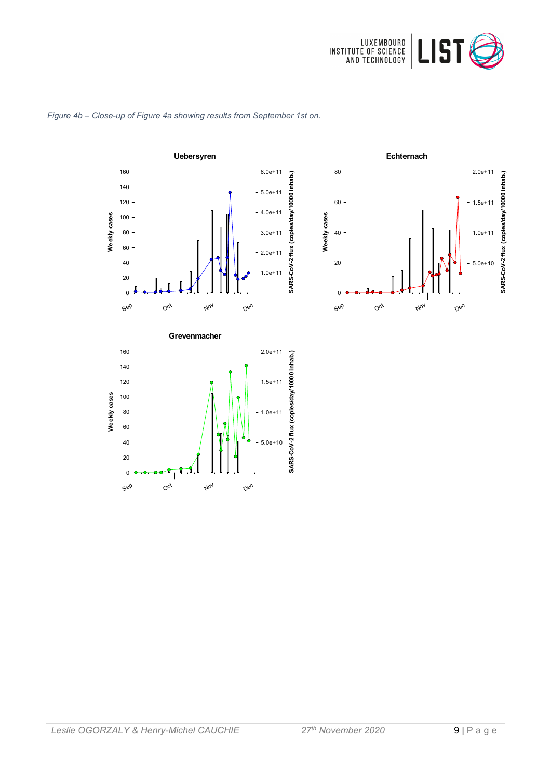

#### *Figure 4b – Close-up of Figure 4a showing results from September 1st on.*





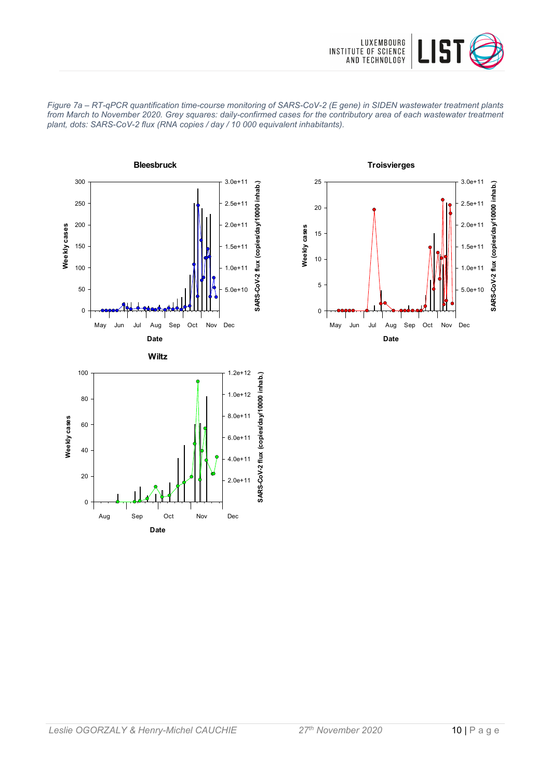





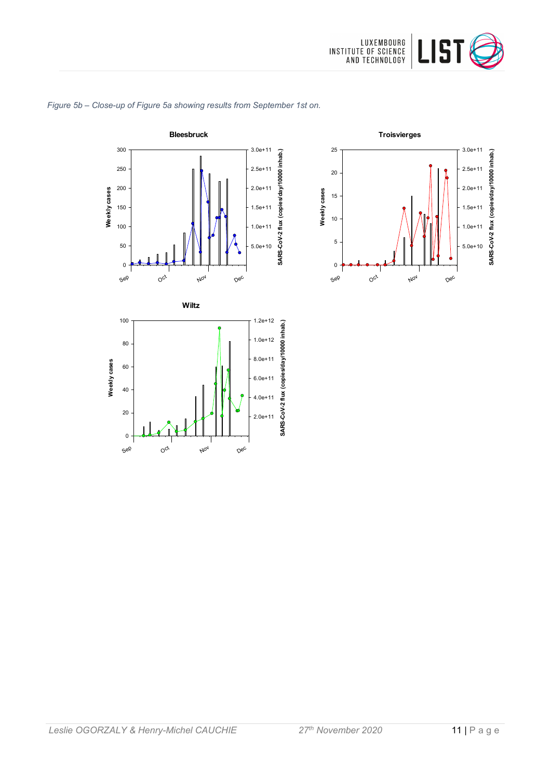







Sep

 $O^{c^t}$ 

Nov

Dec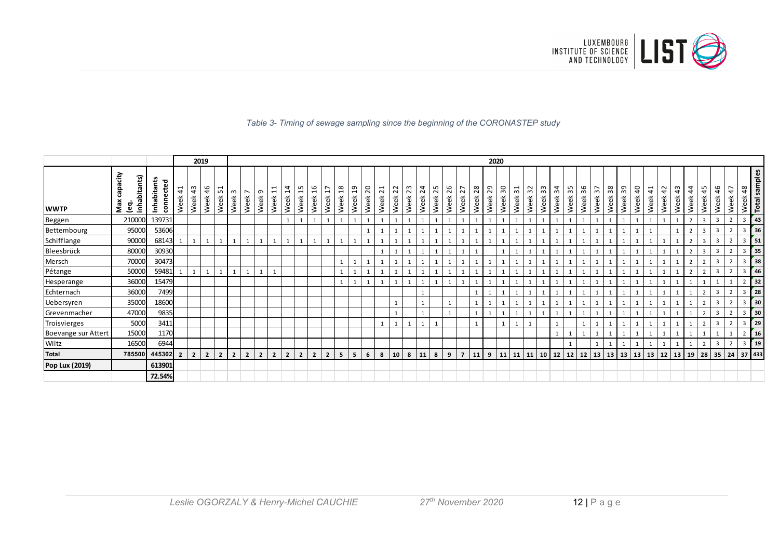

#### *Table 3- Timing of sewage sampling since the beginning of the CORONASTEP study*

|                     |                                        |                          |            |                       | 2019           |                  |                |                        |                         |                             |                             |                             |                       |                         |                        |                        |                        |                         |            |                     |            |                |            |                |            | 2020       |                                           |                       |            |                |                       |            |              |                                        |            |            |                        |                                       |            |                       |                       |                |                         |                    |                       |               |
|---------------------|----------------------------------------|--------------------------|------------|-----------------------|----------------|------------------|----------------|------------------------|-------------------------|-----------------------------|-----------------------------|-----------------------------|-----------------------|-------------------------|------------------------|------------------------|------------------------|-------------------------|------------|---------------------|------------|----------------|------------|----------------|------------|------------|-------------------------------------------|-----------------------|------------|----------------|-----------------------|------------|--------------|----------------------------------------|------------|------------|------------------------|---------------------------------------|------------|-----------------------|-----------------------|----------------|-------------------------|--------------------|-----------------------|---------------|
| <b>WWTP</b>         | capacity<br>inhabitants)<br>Max<br>္လွ | Inhabitants<br>connected | 41<br>Week | $\frac{4}{3}$<br>Week | 46<br>Week     | ⊣<br>LO.<br>Week | m<br>Week      | $\overline{ }$<br>Week | ാ<br>Week               | ↽<br>$\overline{ }$<br>Week | 4<br>$\overline{ }$<br>Week | m<br>$\overline{ }$<br>Week | $\frac{9}{2}$<br>Week | $\overline{17}$<br>Week | $\frac{8}{18}$<br>Week | $\overline{5}$<br>Week | $\overline{c}$<br>Week | $\overline{21}$<br>Week | 22<br>Week | w<br>$\sim$<br>Week | 24<br>Week | 25<br>Week     | 26<br>Week | 27<br>Week     | 28<br>Week | 29<br>Week | $\overline{\mathbf{5}}$<br>Week           | $\frac{1}{3}$<br>Week | 32<br>Week | ო<br>m<br>Week | $\frac{4}{3}$<br>Week | 35<br>Week | 36<br>Week   | $\overline{ }$<br>$\mathsf{m}$<br>Week | 38<br>Week | 39<br>Week | $\overline{a}$<br>Week | $\overline{\phantom{0}}$<br>4<br>Week | 42<br>Week | $\frac{4}{3}$<br>Week | $\frac{4}{4}$<br>Week | 45<br>Week     | 46<br>Week              | $\ddot{4}$<br>Week | 48<br>Week<br>Total s | samples       |
| Beggen              | 210000                                 | 139731                   |            |                       |                |                  |                |                        |                         |                             | 1                           | $\mathbf{1}$                | $\mathbf{1}$          |                         | $\mathbf{1}$           |                        |                        |                         |            | 1                   |            |                |            |                |            |            |                                           |                       |            |                |                       |            | 1            |                                        |            |            | $\mathbf{1}$           |                                       |            |                       | $\overline{2}$        | $\overline{3}$ | $\overline{\mathbf{3}}$ |                    | 3                     | 43            |
| Bettembourg         | 95000                                  | 53606                    |            |                       |                |                  |                |                        |                         |                             |                             |                             |                       |                         |                        |                        |                        |                         |            |                     |            |                |            |                |            |            |                                           |                       |            |                |                       |            |              |                                        |            |            |                        |                                       |            |                       |                       |                | 3                       |                    | 3                     | 36            |
| Schifflange         | 90000                                  | 68143                    |            |                       |                |                  |                |                        |                         |                             |                             |                             |                       |                         | 1                      |                        |                        |                         |            |                     |            |                |            |                |            |            |                                           |                       |            |                |                       |            |              |                                        |            |            |                        |                                       |            |                       |                       | ્ર             | $\mathbf{a}$            |                    | 3                     | 51            |
| Bleesbrück          | 80000                                  | 30930                    |            |                       |                |                  |                |                        |                         |                             |                             |                             |                       |                         |                        |                        |                        |                         |            |                     |            |                |            |                |            |            |                                           |                       |            |                |                       |            | 1            |                                        |            |            |                        |                                       |            |                       |                       | $\overline{3}$ | -3                      |                    | $\overline{3}$        | 35            |
| Mersch              | 70000                                  | 30473                    |            |                       |                |                  |                |                        |                         |                             |                             |                             |                       |                         | 1                      |                        |                        |                         |            |                     |            |                |            |                |            |            |                                           |                       |            |                |                       |            | $\mathbf{1}$ |                                        |            |            |                        |                                       |            |                       |                       |                | $\overline{3}$          |                    | 3                     | 38            |
| Pétange             | 50000                                  | 59481                    |            | $\mathbf{1}$          | $\mathbf{1}$   |                  | $\mathbf{1}$   |                        |                         |                             |                             |                             |                       |                         | $\mathbf{1}$           |                        |                        |                         |            |                     |            |                |            |                |            |            |                                           |                       |            |                |                       |            | 1            |                                        |            |            |                        |                                       |            |                       | $\overline{2}$        |                | $\overline{3}$          |                    | 3                     | 46            |
| Hesperange          | 36000                                  | 15479                    |            |                       |                |                  |                |                        |                         |                             |                             |                             |                       |                         | $\mathbf{1}$           |                        |                        |                         |            |                     |            |                |            |                |            |            |                                           |                       |            |                |                       |            |              |                                        |            |            |                        |                                       |            |                       |                       |                |                         |                    |                       | 32            |
| Echternach          | 36000                                  | 7499                     |            |                       |                |                  |                |                        |                         |                             |                             |                             |                       |                         |                        |                        |                        |                         |            |                     |            |                |            |                |            |            |                                           |                       |            |                |                       |            |              |                                        |            |            |                        |                                       |            |                       |                       |                |                         |                    | 3                     | 28            |
| Uebersyren          | 35000                                  | 18600                    |            |                       |                |                  |                |                        |                         |                             |                             |                             |                       |                         |                        |                        |                        |                         |            |                     |            |                |            |                |            |            |                                           |                       |            |                |                       |            | 1            |                                        |            |            |                        |                                       |            |                       |                       |                | $\overline{3}$          |                    | 3                     | 30            |
| Grevenmacher        | 47000                                  | 9835                     |            |                       |                |                  |                |                        |                         |                             |                             |                             |                       |                         |                        |                        |                        |                         |            |                     |            |                |            |                |            |            |                                           |                       |            |                |                       |            | 1            |                                        |            |            |                        |                                       |            |                       |                       |                | $\overline{3}$          |                    | $\overline{3}$        | 30            |
| Troisvierges        | 5000                                   | 3411                     |            |                       |                |                  |                |                        |                         |                             |                             |                             |                       |                         |                        |                        |                        |                         |            |                     |            |                |            |                |            |            |                                           |                       |            |                |                       |            |              |                                        |            |            |                        |                                       |            |                       |                       |                | -3                      |                    | 3                     | 29            |
| Boevange sur Attert | 15000                                  | 1170                     |            |                       |                |                  |                |                        |                         |                             |                             |                             |                       |                         |                        |                        |                        |                         |            |                     |            |                |            |                |            |            |                                           |                       |            |                |                       |            |              |                                        |            |            |                        |                                       |            |                       |                       |                |                         |                    |                       | <sup>16</sup> |
| Wiltz               | 16500                                  | 6944                     |            |                       |                |                  |                |                        |                         |                             |                             |                             |                       |                         |                        |                        |                        |                         |            |                     |            |                |            |                |            |            |                                           |                       |            |                |                       |            |              |                                        |            |            |                        |                                       |            |                       |                       |                | -3                      |                    | 3                     | 19            |
| <b>Total</b>        | 785500                                 | 445302                   | C.         | $\overline{2}$        | $\overline{2}$ | $\overline{2}$   | $\overline{2}$ | $\overline{2}$         | $\overline{\mathbf{z}}$ | $\overline{2}$              | $\overline{2}$              | $\overline{2}$              | $\overline{2}$        | $\overline{2}$          | 5 <sup>1</sup>         | 5                      | 6                      | 8                       | 10         | 8                   | 11         | 8 <sup>1</sup> | 9          | $\overline{7}$ | 11         | 9          | $11 \mid 11 \mid 11 \mid 10 \mid 12 \mid$ |                       |            |                |                       | 12         | 12 13 13 13  |                                        |            |            | 13   13   12           |                                       |            | 13                    | 19                    | 28             | $35$   24               |                    | 37 433                |               |
| Pop Lux (2019)      |                                        | 613901                   |            |                       |                |                  |                |                        |                         |                             |                             |                             |                       |                         |                        |                        |                        |                         |            |                     |            |                |            |                |            |            |                                           |                       |            |                |                       |            |              |                                        |            |            |                        |                                       |            |                       |                       |                |                         |                    |                       |               |
|                     |                                        | 72.54%                   |            |                       |                |                  |                |                        |                         |                             |                             |                             |                       |                         |                        |                        |                        |                         |            |                     |            |                |            |                |            |            |                                           |                       |            |                |                       |            |              |                                        |            |            |                        |                                       |            |                       |                       |                |                         |                    |                       |               |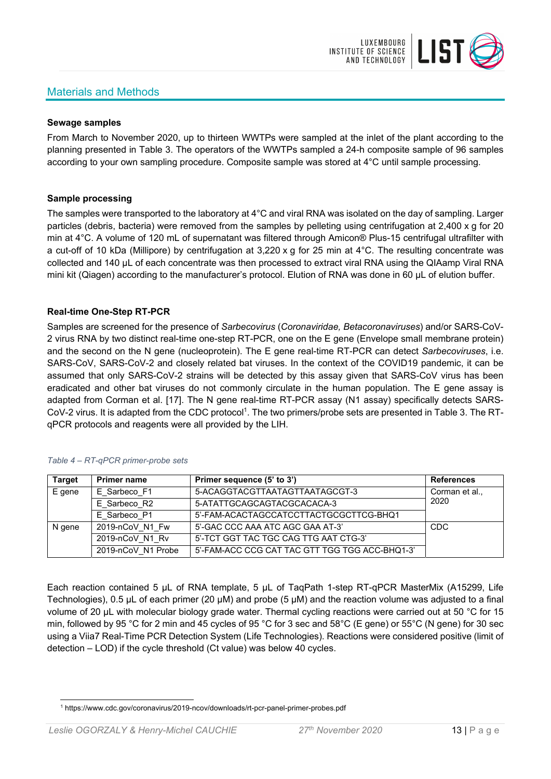# Materials and Methods



#### **Sewage samples**

From March to November 2020, up to thirteen WWTPs were sampled at the inlet of the plant according to the planning presented in Table 3. The operators of the WWTPs sampled a 24-h composite sample of 96 samples according to your own sampling procedure. Composite sample was stored at 4°C until sample processing.

#### **Sample processing**

The samples were transported to the laboratory at 4°C and viral RNA was isolated on the day of sampling. Larger particles (debris, bacteria) were removed from the samples by pelleting using centrifugation at 2,400 x g for 20 min at 4°C. A volume of 120 mL of supernatant was filtered through Amicon® Plus-15 centrifugal ultrafilter with a cut-off of 10 kDa (Millipore) by centrifugation at 3,220 x g for 25 min at 4°C. The resulting concentrate was collected and 140 µL of each concentrate was then processed to extract viral RNA using the QIAamp Viral RNA mini kit (Qiagen) according to the manufacturer's protocol. Elution of RNA was done in 60 μL of elution buffer.

#### **Real-time One-Step RT-PCR**

Samples are screened for the presence of *Sarbecovirus* (*Coronaviridae, Betacoronaviruses*) and/or SARS-CoV-2 virus RNA by two distinct real-time one-step RT-PCR, one on the E gene (Envelope small membrane protein) and the second on the N gene (nucleoprotein). The E gene real-time RT-PCR can detect *Sarbecoviruses*, i.e. SARS-CoV, SARS-CoV-2 and closely related bat viruses. In the context of the COVID19 pandemic, it can be assumed that only SARS-CoV-2 strains will be detected by this assay given that SARS-CoV virus has been eradicated and other bat viruses do not commonly circulate in the human population. The E gene assay is adapted from Corman et al. [17]. The N gene real-time RT-PCR assay (N1 assay) specifically detects SARS-CoV-2 virus. It is adapted from the CDC protocol<sup>1</sup>. The two primers/probe sets are presented in Table 3. The RTqPCR protocols and reagents were all provided by the LIH.

| <b>Target</b> | <b>Primer name</b> | Primer sequence (5' to 3')                     | <b>References</b> |
|---------------|--------------------|------------------------------------------------|-------------------|
| E gene        | E Sarbeco F1       | 5-ACAGGTACGTTAATAGTTAATAGCGT-3                 | Corman et al.,    |
|               | E Sarbeco R2       | 5-ATATTGCAGCAGTACGCACACA-3                     | 2020              |
|               | E Sarbeco P1       | 5'-FAM-ACACTAGCCATCCTTACTGCGCTTCG-BHQ1         |                   |
| N gene        | 2019-nCoV N1 Fw    | 5'-GAC CCC AAA ATC AGC GAA AT-3'               | <b>CDC</b>        |
|               | 2019-nCoV N1 Rv    | 5'-TCT GGT TAC TGC CAG TTG AAT CTG-3'          |                   |
|               | 2019-nCoV N1 Probe | 5'-FAM-ACC CCG CAT TAC GTT TGG TGG ACC-BHQ1-3' |                   |

#### *Table 4 – RT-qPCR primer-probe sets*

Each reaction contained 5 μL of RNA template, 5 μL of TaqPath 1-step RT-qPCR MasterMix (A15299, Life Technologies), 0.5 µL of each primer (20 µM) and probe (5 µM) and the reaction volume was adjusted to a final volume of 20 μL with molecular biology grade water. Thermal cycling reactions were carried out at 50 °C for 15 min, followed by 95 °C for 2 min and 45 cycles of 95 °C for 3 sec and 58°C (E gene) or 55°C (N gene) for 30 sec using a Viia7 Real-Time PCR Detection System (Life Technologies). Reactions were considered positive (limit of detection – LOD) if the cycle threshold (Ct value) was below 40 cycles.

<sup>1</sup> https://www.cdc.gov/coronavirus/2019-ncov/downloads/rt-pcr-panel-primer-probes.pdf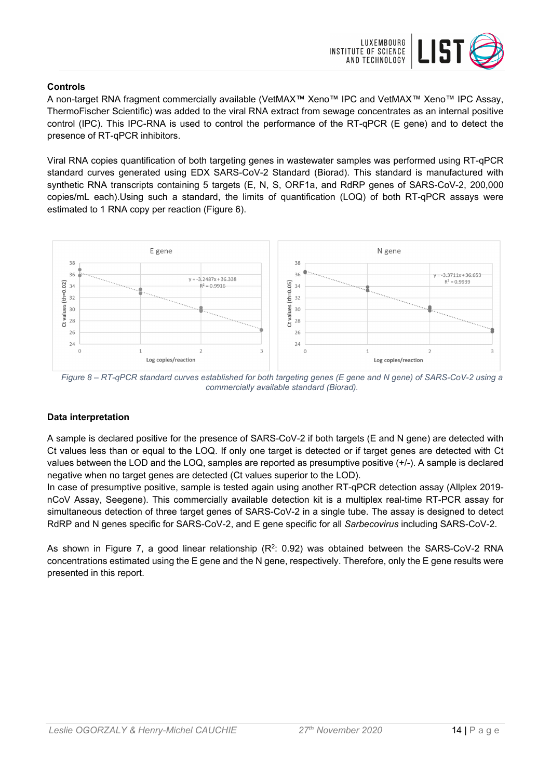

#### **Controls**

A non-target RNA fragment commercially available (VetMAX™ Xeno™ IPC and VetMAX™ Xeno™ IPC Assay, ThermoFischer Scientific) was added to the viral RNA extract from sewage concentrates as an internal positive control (IPC). This IPC-RNA is used to control the performance of the RT-qPCR (E gene) and to detect the presence of RT-qPCR inhibitors.

Viral RNA copies quantification of both targeting genes in wastewater samples was performed using RT-qPCR standard curves generated using EDX SARS-CoV-2 Standard (Biorad). This standard is manufactured with synthetic RNA transcripts containing 5 targets (E, N, S, ORF1a, and RdRP genes of SARS-CoV-2, 200,000 copies/mL each).Using such a standard, the limits of quantification (LOQ) of both RT-qPCR assays were estimated to 1 RNA copy per reaction (Figure 6).



*Figure 8 – RT-qPCR standard curves established for both targeting genes (E gene and N gene) of SARS-CoV-2 using a commercially available standard (Biorad).* 

#### **Data interpretation**

A sample is declared positive for the presence of SARS-CoV-2 if both targets (E and N gene) are detected with Ct values less than or equal to the LOQ. If only one target is detected or if target genes are detected with Ct values between the LOD and the LOQ, samples are reported as presumptive positive (+/-). A sample is declared negative when no target genes are detected (Ct values superior to the LOD).

In case of presumptive positive, sample is tested again using another RT-qPCR detection assay (Allplex 2019 nCoV Assay, Seegene). This commercially available detection kit is a multiplex real-time RT-PCR assay for simultaneous detection of three target genes of SARS-CoV-2 in a single tube. The assay is designed to detect RdRP and N genes specific for SARS-CoV-2, and E gene specific for all *Sarbecovirus* including SARS-CoV-2.

As shown in Figure 7, a good linear relationship  $(R^2: 0.92)$  was obtained between the SARS-CoV-2 RNA concentrations estimated using the E gene and the N gene, respectively. Therefore, only the E gene results were presented in this report.